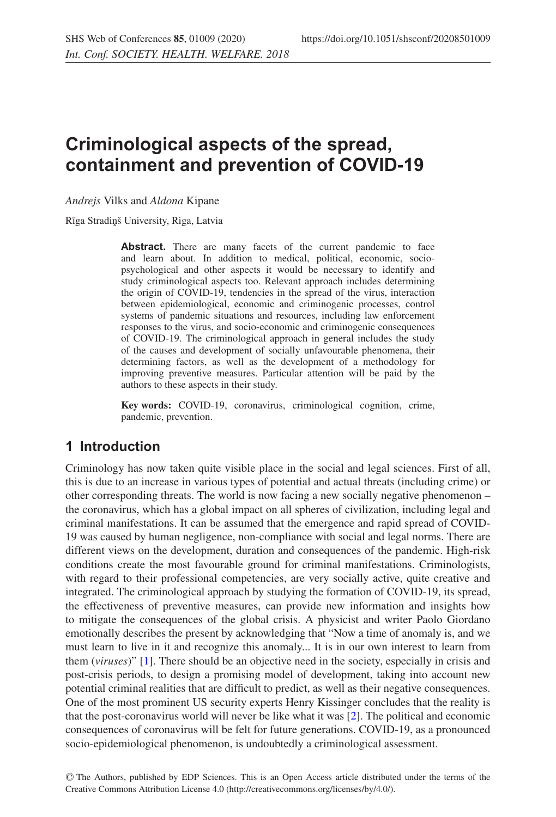# **Criminological aspects of the spread, containment and prevention of COVID-19**

*Andrejs* Vilks and *Aldona* Kipane

Rīga Stradiņš University, Riga, Latvia

Abstract. There are many facets of the current pandemic to face and learn about. In addition to medical, political, economic, sociopsychological and other aspects it would be necessary to identify and study criminological aspects too. Relevant approach includes determining the origin of COVID-19, tendencies in the spread of the virus, interaction between epidemiological, economic and criminogenic processes, control systems of pandemic situations and resources, including law enforcement responses to the virus, and socio-economic and criminogenic consequences of COVID-19. The criminological approach in general includes the study of the causes and development of socially unfavourable phenomena, their determining factors, as well as the development of a methodology for improving preventive measures. Particular attention will be paid by the authors to these aspects in their study.

**Key words:** COVID-19, coronavirus, criminological cognition, crime, pandemic, prevention.

## **1 Introduction**

Criminology has now taken quite visible place in the social and legal sciences. First of all, this is due to an increase in various types of potential and actual threats (including crime) or other corresponding threats. The world is now facing a new socially negative phenomenon – the coronavirus, which has a global impact on all spheres of civilization, including legal and criminal manifestations. It can be assumed that the emergence and rapid spread of COVID-19 was caused by human negligence, non-compliance with social and legal norms. There are different views on the development, duration and consequences of the pandemic. High-risk conditions create the most favourable ground for criminal manifestations. Criminologists, with regard to their professional competencies, are very socially active, quite creative and integrated. The criminological approach by studying the formation of COVID-19, its spread, the effectiveness of preventive measures, can provide new information and insights how to mitigate the consequences of the global crisis. A physicist and writer Paolo Giordano emotionally describes the present by acknowledging that "Now a time of anomaly is, and we must learn to live in it and recognize this anomaly... It is in our own interest to learn from them (*viruses*)" [\[1](#page-8-0)]. There should be an objective need in the society, especially in crisis and post-crisis periods, to design a promising model of development, taking into account new potential criminal realities that are difficult to predict, as well as their negative consequences. One of the most prominent US security experts Henry Kissinger concludes that the reality is that the post-coronavirus world will never be like what it was [\[2](#page-8-1)]. The political and economic consequences of coronavirus will be felt for future generations. COVID-19, as a pronounced socio-epidemiological phenomenon, is undoubtedly a criminological assessment.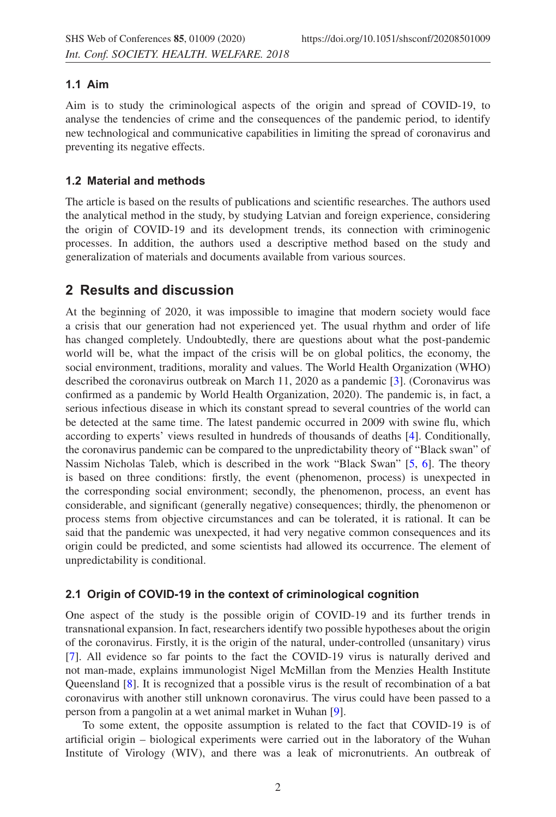## **1.1 Aim**

Aim is to study the criminological aspects of the origin and spread of COVID-19, to analyse the tendencies of crime and the consequences of the pandemic period, to identify new technological and communicative capabilities in limiting the spread of coronavirus and preventing its negative effects.

## **1.2 Material and methods**

The article is based on the results of publications and scientific researches. The authors used the analytical method in the study, by studying Latvian and foreign experience, considering the origin of COVID-19 and its development trends, its connection with criminogenic processes. In addition, the authors used a descriptive method based on the study and generalization of materials and documents available from various sources.

## **2 Results and discussion**

At the beginning of 2020, it was impossible to imagine that modern society would face a crisis that our generation had not experienced yet. The usual rhythm and order of life has changed completely. Undoubtedly, there are questions about what the post-pandemic world will be, what the impact of the crisis will be on global politics, the economy, the social environment, traditions, morality and values. The World Health Organization (WHO) described the coronavirus outbreak on March 11, 2020 as a pandemic [\[3](#page-8-2)]. (Coronavirus was confirmed as a pandemic by World Health Organization, 2020). The pandemic is, in fact, a serious infectious disease in which its constant spread to several countries of the world can be detected at the same time. The latest pandemic occurred in 2009 with swine flu, which according to experts' views resulted in hundreds of thousands of deaths [\[4\]](#page-8-3). Conditionally, the coronavirus pandemic can be compared to the unpredictability theory of "Black swan" of Nassim Nicholas Taleb, which is described in the work "Black Swan" [\[5,](#page-9-0) [6\]](#page-9-1). The theory is based on three conditions: firstly, the event (phenomenon, process) is unexpected in the corresponding social environment; secondly, the phenomenon, process, an event has considerable, and significant (generally negative) consequences; thirdly, the phenomenon or process stems from objective circumstances and can be tolerated, it is rational. It can be said that the pandemic was unexpected, it had very negative common consequences and its origin could be predicted, and some scientists had allowed its occurrence. The element of unpredictability is conditional.

## **2.1 Origin of COVID-19 in the context of criminological cognition**

One aspect of the study is the possible origin of COVID-19 and its further trends in transnational expansion. In fact, researchers identify two possible hypotheses about the origin of the coronavirus. Firstly, it is the origin of the natural, under-controlled (unsanitary) virus [\[7](#page-9-2)]. All evidence so far points to the fact the COVID-19 virus is naturally derived and not man-made, explains immunologist Nigel McMillan from the Menzies Health Institute Queensland [\[8](#page-9-3)]. It is recognized that a possible virus is the result of recombination of a bat coronavirus with another still unknown coronavirus. The virus could have been passed to a person from a pangolin at a wet animal market in Wuhan [\[9](#page-9-4)].

To some extent, the opposite assumption is related to the fact that COVID-19 is of artificial origin – biological experiments were carried out in the laboratory of the Wuhan Institute of Virology (WIV), and there was a leak of micronutrients. An outbreak of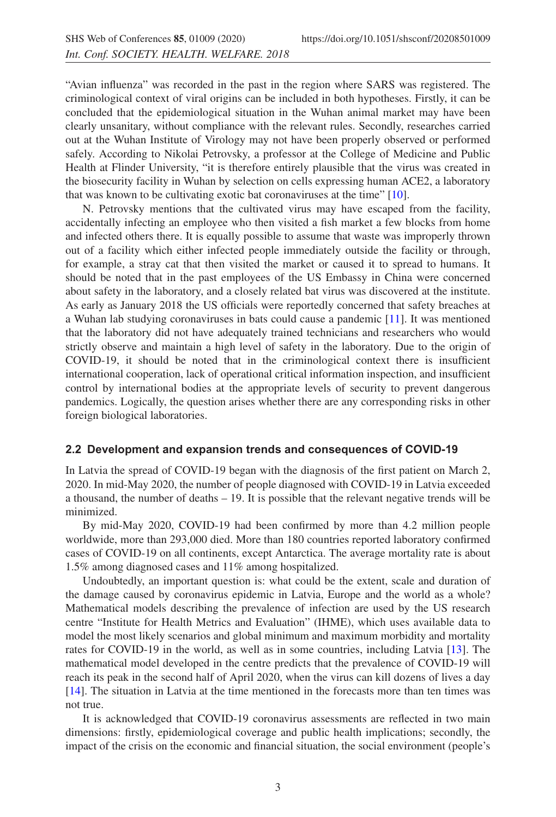"Avian influenza" was recorded in the past in the region where SARS was registered. The criminological context of viral origins can be included in both hypotheses. Firstly, it can be concluded that the epidemiological situation in the Wuhan animal market may have been clearly unsanitary, without compliance with the relevant rules. Secondly, researches carried out at the Wuhan Institute of Virology may not have been properly observed or performed safely. According to Nikolai Petrovsky, a professor at the College of Medicine and Public Health at Flinder University, "it is therefore entirely plausible that the virus was created in the biosecurity facility in Wuhan by selection on cells expressing human ACE2, a laboratory that was known to be cultivating exotic bat coronaviruses at the time" [\[10](#page-9-5)].

N. Petrovsky mentions that the cultivated virus may have escaped from the facility, accidentally infecting an employee who then visited a fish market a few blocks from home and infected others there. It is equally possible to assume that waste was improperly thrown out of a facility which either infected people immediately outside the facility or through, for example, a stray cat that then visited the market or caused it to spread to humans. It should be noted that in the past employees of the US Embassy in China were concerned about safety in the laboratory, and a closely related bat virus was discovered at the institute. As early as January 2018 the US officials were reportedly concerned that safety breaches at a Wuhan lab studying coronaviruses in bats could cause a pandemic [\[11](#page-9-6)]. It was mentioned that the laboratory did not have adequately trained technicians and researchers who would strictly observe and maintain a high level of safety in the laboratory. Due to the origin of COVID-19, it should be noted that in the criminological context there is insufficient international cooperation, lack of operational critical information inspection, and insufficient control by international bodies at the appropriate levels of security to prevent dangerous pandemics. Logically, the question arises whether there are any corresponding risks in other foreign biological laboratories.

#### **2.2 Development and expansion trends and consequences of COVID-19**

In Latvia the spread of COVID-19 began with the diagnosis of the first patient on March 2, 2020. In mid-May 2020, the number of people diagnosed with COVID-19 in Latvia exceeded a thousand, the number of deaths – 19. It is possible that the relevant negative trends will be minimized.

By mid-May 2020, COVID-19 had been confirmed by more than 4.2 million people worldwide, more than 293,000 died. More than 180 countries reported laboratory confirmed cases of COVID-19 on all continents, except Antarctica. The average mortality rate is about 1.5% among diagnosed cases and 11% among hospitalized.

Undoubtedly, an important question is: what could be the extent, scale and duration of the damage caused by coronavirus epidemic in Latvia, Europe and the world as a whole? Mathematical models describing the prevalence of infection are used by the US research centre "Institute for Health Metrics and Evaluation" (IHME), which uses available data to model the most likely scenarios and global minimum and maximum morbidity and mortality rates for COVID-19 in the world, as well as in some countries, including Latvia [\[13\]](#page-9-7). The mathematical model developed in the centre predicts that the prevalence of COVID-19 will reach its peak in the second half of April 2020, when the virus can kill dozens of lives a day [\[14](#page-9-8)]. The situation in Latvia at the time mentioned in the forecasts more than ten times was not true.

It is acknowledged that COVID-19 coronavirus assessments are reflected in two main dimensions: firstly, epidemiological coverage and public health implications; secondly, the impact of the crisis on the economic and financial situation, the social environment (people's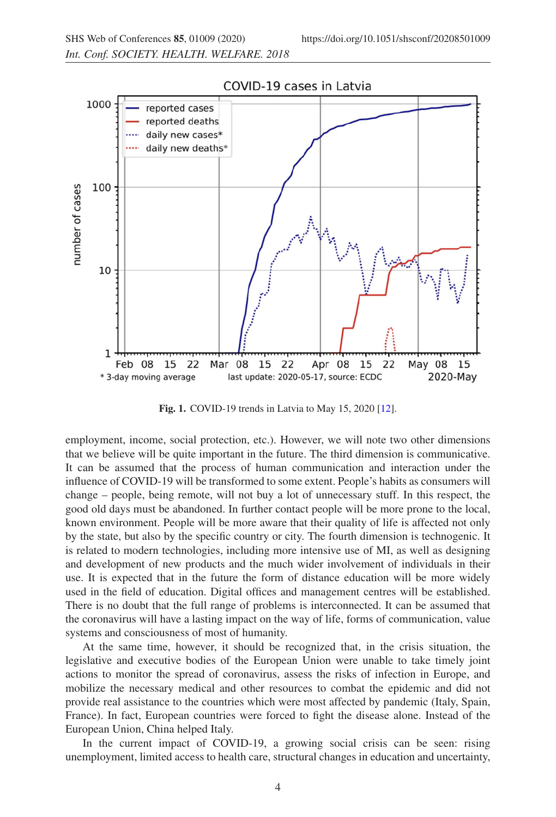

**Fig. 1.** COVID-19 trends in Latvia to May 15, 2020 [\[12\]](#page-9-9).

employment, income, social protection, etc.). However, we will note two other dimensions that we believe will be quite important in the future. The third dimension is communicative. It can be assumed that the process of human communication and interaction under the influence of COVID-19 will be transformed to some extent. People's habits as consumers will change – people, being remote, will not buy a lot of unnecessary stuff. In this respect, the good old days must be abandoned. In further contact people will be more prone to the local, known environment. People will be more aware that their quality of life is affected not only by the state, but also by the specific country or city. The fourth dimension is technogenic. It is related to modern technologies, including more intensive use of MI, as well as designing and development of new products and the much wider involvement of individuals in their use. It is expected that in the future the form of distance education will be more widely used in the field of education. Digital offices and management centres will be established. There is no doubt that the full range of problems is interconnected. It can be assumed that the coronavirus will have a lasting impact on the way of life, forms of communication, value systems and consciousness of most of humanity.

At the same time, however, it should be recognized that, in the crisis situation, the legislative and executive bodies of the European Union were unable to take timely joint actions to monitor the spread of coronavirus, assess the risks of infection in Europe, and mobilize the necessary medical and other resources to combat the epidemic and did not provide real assistance to the countries which were most affected by pandemic (Italy, Spain, France). In fact, European countries were forced to fight the disease alone. Instead of the European Union, China helped Italy.

In the current impact of COVID-19, a growing social crisis can be seen: rising unemployment, limited access to health care, structural changes in education and uncertainty,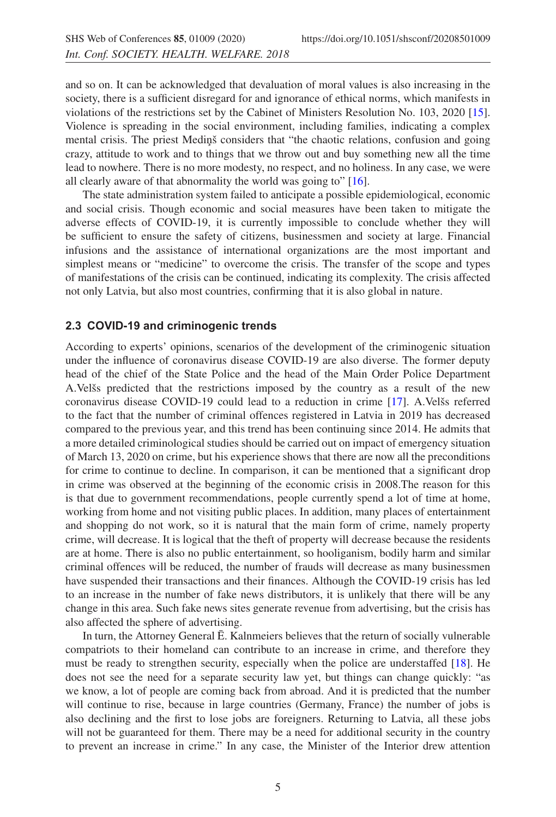and so on. It can be acknowledged that devaluation of moral values is also increasing in the society, there is a sufficient disregard for and ignorance of ethical norms, which manifests in violations of the restrictions set by the Cabinet of Ministers Resolution No. 103, 2020 [\[15](#page-9-10)]. Violence is spreading in the social environment, including families, indicating a complex mental crisis. The priest Medinš considers that "the chaotic relations, confusion and going crazy, attitude to work and to things that we throw out and buy something new all the time lead to nowhere. There is no more modesty, no respect, and no holiness. In any case, we were all clearly aware of that abnormality the world was going to" [\[16](#page-9-11)].

The state administration system failed to anticipate a possible epidemiological, economic and social crisis. Though economic and social measures have been taken to mitigate the adverse effects of COVID-19, it is currently impossible to conclude whether they will be sufficient to ensure the safety of citizens, businessmen and society at large. Financial infusions and the assistance of international organizations are the most important and simplest means or "medicine" to overcome the crisis. The transfer of the scope and types of manifestations of the crisis can be continued, indicating its complexity. The crisis affected not only Latvia, but also most countries, confirming that it is also global in nature.

#### **2.3 COVID-19 and criminogenic trends**

According to experts' opinions, scenarios of the development of the criminogenic situation under the influence of coronavirus disease COVID-19 are also diverse. The former deputy head of the chief of the State Police and the head of the Main Order Police Department A.Velšs predicted that the restrictions imposed by the country as a result of the new coronavirus disease COVID-19 could lead to a reduction in crime [\[17](#page-9-12)]. A.Velšs referred to the fact that the number of criminal offences registered in Latvia in 2019 has decreased compared to the previous year, and this trend has been continuing since 2014. He admits that a more detailed criminological studies should be carried out on impact of emergency situation of March 13, 2020 on crime, but his experience shows that there are now all the preconditions for crime to continue to decline. In comparison, it can be mentioned that a significant drop in crime was observed at the beginning of the economic crisis in 2008.The reason for this is that due to government recommendations, people currently spend a lot of time at home, working from home and not visiting public places. In addition, many places of entertainment and shopping do not work, so it is natural that the main form of crime, namely property crime, will decrease. It is logical that the theft of property will decrease because the residents are at home. There is also no public entertainment, so hooliganism, bodily harm and similar criminal offences will be reduced, the number of frauds will decrease as many businessmen have suspended their transactions and their finances. Although the COVID-19 crisis has led to an increase in the number of fake news distributors, it is unlikely that there will be any change in this area. Such fake news sites generate revenue from advertising, but the crisis has also affected the sphere of advertising.

In turn, the Attorney General E. Kalnmeiers believes that the return of socially vulnerable ¯ compatriots to their homeland can contribute to an increase in crime, and therefore they must be ready to strengthen security, especially when the police are understaffed [\[18](#page-9-13)]. He does not see the need for a separate security law yet, but things can change quickly: "as we know, a lot of people are coming back from abroad. And it is predicted that the number will continue to rise, because in large countries (Germany, France) the number of jobs is also declining and the first to lose jobs are foreigners. Returning to Latvia, all these jobs will not be guaranteed for them. There may be a need for additional security in the country to prevent an increase in crime." In any case, the Minister of the Interior drew attention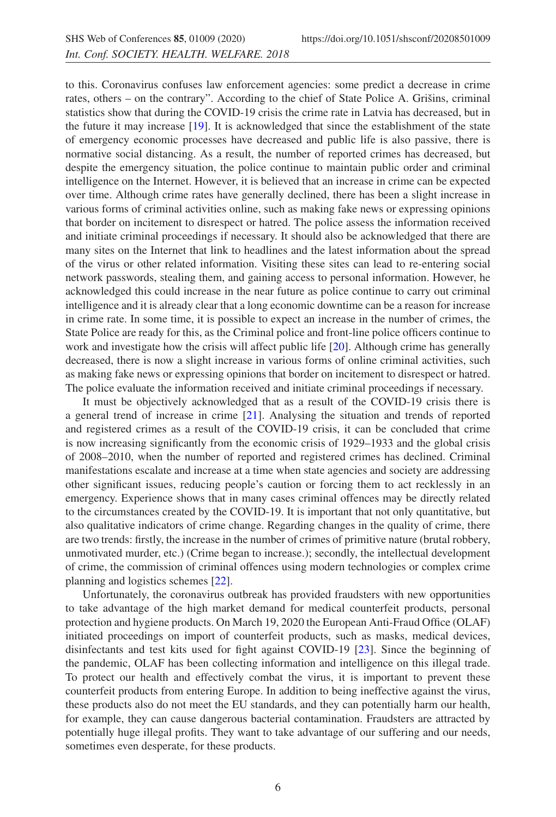to this. Coronavirus confuses law enforcement agencies: some predict a decrease in crime rates, others – on the contrary". According to the chief of State Police A. Grišins, criminal statistics show that during the COVID-19 crisis the crime rate in Latvia has decreased, but in the future it may increase [\[19\]](#page-9-14). It is acknowledged that since the establishment of the state of emergency economic processes have decreased and public life is also passive, there is normative social distancing. As a result, the number of reported crimes has decreased, but despite the emergency situation, the police continue to maintain public order and criminal intelligence on the Internet. However, it is believed that an increase in crime can be expected over time. Although crime rates have generally declined, there has been a slight increase in various forms of criminal activities online, such as making fake news or expressing opinions that border on incitement to disrespect or hatred. The police assess the information received and initiate criminal proceedings if necessary. It should also be acknowledged that there are many sites on the Internet that link to headlines and the latest information about the spread of the virus or other related information. Visiting these sites can lead to re-entering social network passwords, stealing them, and gaining access to personal information. However, he acknowledged this could increase in the near future as police continue to carry out criminal intelligence and it is already clear that a long economic downtime can be a reason for increase in crime rate. In some time, it is possible to expect an increase in the number of crimes, the State Police are ready for this, as the Criminal police and front-line police officers continue to work and investigate how the crisis will affect public life [\[20\]](#page-10-0). Although crime has generally decreased, there is now a slight increase in various forms of online criminal activities, such as making fake news or expressing opinions that border on incitement to disrespect or hatred. The police evaluate the information received and initiate criminal proceedings if necessary.

It must be objectively acknowledged that as a result of the COVID-19 crisis there is a general trend of increase in crime [\[21\]](#page-10-1). Analysing the situation and trends of reported and registered crimes as a result of the COVID-19 crisis, it can be concluded that crime is now increasing significantly from the economic crisis of 1929–1933 and the global crisis of 2008–2010, when the number of reported and registered crimes has declined. Criminal manifestations escalate and increase at a time when state agencies and society are addressing other significant issues, reducing people's caution or forcing them to act recklessly in an emergency. Experience shows that in many cases criminal offences may be directly related to the circumstances created by the COVID-19. It is important that not only quantitative, but also qualitative indicators of crime change. Regarding changes in the quality of crime, there are two trends: firstly, the increase in the number of crimes of primitive nature (brutal robbery, unmotivated murder, etc.) (Crime began to increase.); secondly, the intellectual development of crime, the commission of criminal offences using modern technologies or complex crime planning and logistics schemes [\[22](#page-10-2)].

Unfortunately, the coronavirus outbreak has provided fraudsters with new opportunities to take advantage of the high market demand for medical counterfeit products, personal protection and hygiene products. On March 19, 2020 the European Anti-Fraud Office (OLAF) initiated proceedings on import of counterfeit products, such as masks, medical devices, disinfectants and test kits used for fight against COVID-19 [\[23\]](#page-10-3). Since the beginning of the pandemic, OLAF has been collecting information and intelligence on this illegal trade. To protect our health and effectively combat the virus, it is important to prevent these counterfeit products from entering Europe. In addition to being ineffective against the virus, these products also do not meet the EU standards, and they can potentially harm our health, for example, they can cause dangerous bacterial contamination. Fraudsters are attracted by potentially huge illegal profits. They want to take advantage of our suffering and our needs, sometimes even desperate, for these products.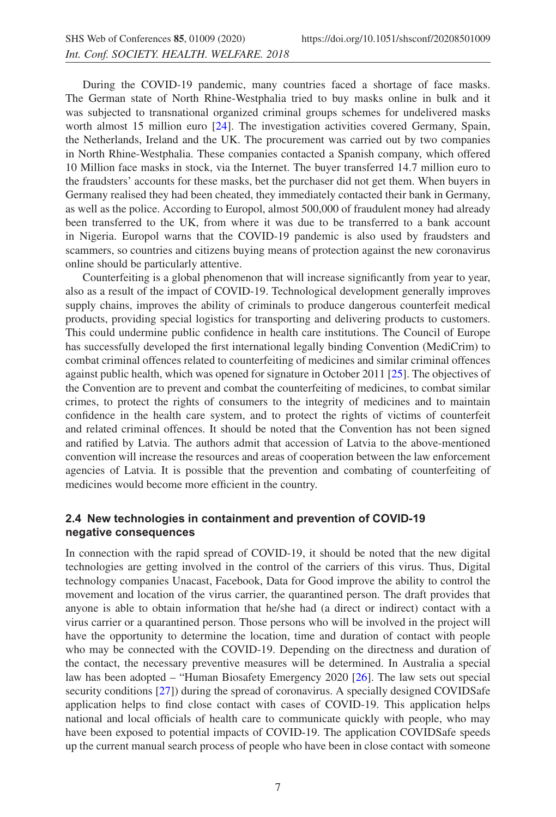During the COVID-19 pandemic, many countries faced a shortage of face masks. The German state of North Rhine-Westphalia tried to buy masks online in bulk and it was subjected to transnational organized criminal groups schemes for undelivered masks worth almost 15 million euro [\[24](#page-10-4)]. The investigation activities covered Germany, Spain, the Netherlands, Ireland and the UK. The procurement was carried out by two companies in North Rhine-Westphalia. These companies contacted a Spanish company, which offered 10 Million face masks in stock, via the Internet. The buyer transferred 14.7 million euro to the fraudsters' accounts for these masks, bet the purchaser did not get them. When buyers in Germany realised they had been cheated, they immediately contacted their bank in Germany, as well as the police. According to Europol, almost 500,000 of fraudulent money had already been transferred to the UK, from where it was due to be transferred to a bank account in Nigeria. Europol warns that the COVID-19 pandemic is also used by fraudsters and scammers, so countries and citizens buying means of protection against the new coronavirus online should be particularly attentive.

Counterfeiting is a global phenomenon that will increase significantly from year to year, also as a result of the impact of COVID-19. Technological development generally improves supply chains, improves the ability of criminals to produce dangerous counterfeit medical products, providing special logistics for transporting and delivering products to customers. This could undermine public confidence in health care institutions. The Council of Europe has successfully developed the first international legally binding Convention (MediCrim) to combat criminal offences related to counterfeiting of medicines and similar criminal offences against public health, which was opened for signature in October 2011 [\[25](#page-10-5)]. The objectives of the Convention are to prevent and combat the counterfeiting of medicines, to combat similar crimes, to protect the rights of consumers to the integrity of medicines and to maintain confidence in the health care system, and to protect the rights of victims of counterfeit and related criminal offences. It should be noted that the Convention has not been signed and ratified by Latvia. The authors admit that accession of Latvia to the above-mentioned convention will increase the resources and areas of cooperation between the law enforcement agencies of Latvia. It is possible that the prevention and combating of counterfeiting of medicines would become more efficient in the country.

#### **2.4 New technologies in containment and prevention of COVID-19 negative consequences**

In connection with the rapid spread of COVID-19, it should be noted that the new digital technologies are getting involved in the control of the carriers of this virus. Thus, Digital technology companies Unacast, Facebook, Data for Good improve the ability to control the movement and location of the virus carrier, the quarantined person. The draft provides that anyone is able to obtain information that he/she had (a direct or indirect) contact with a virus carrier or a quarantined person. Those persons who will be involved in the project will have the opportunity to determine the location, time and duration of contact with people who may be connected with the COVID-19. Depending on the directness and duration of the contact, the necessary preventive measures will be determined. In Australia a special law has been adopted – "Human Biosafety Emergency 2020 [\[26](#page-10-6)]. The law sets out special security conditions [\[27\]](#page-10-7)) during the spread of coronavirus. A specially designed COVIDSafe application helps to find close contact with cases of COVID-19. This application helps national and local officials of health care to communicate quickly with people, who may have been exposed to potential impacts of COVID-19. The application COVIDSafe speeds up the current manual search process of people who have been in close contact with someone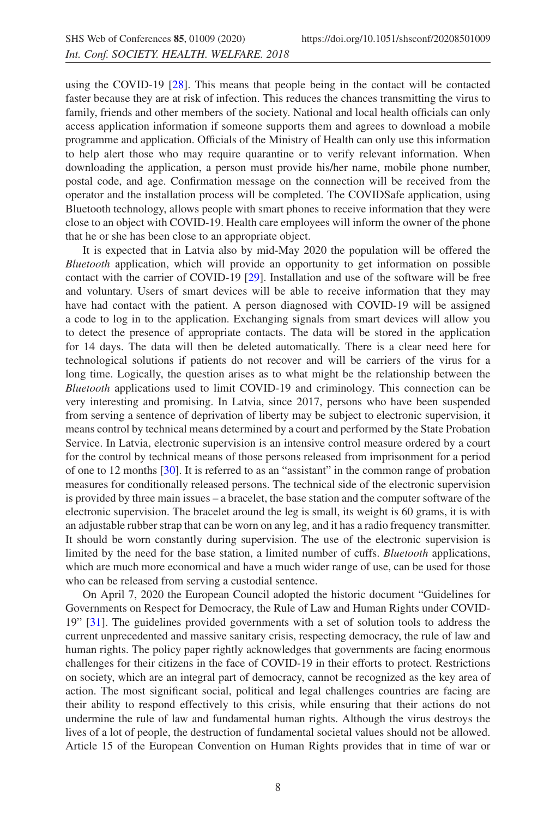using the COVID-19 [\[28](#page-10-8)]. This means that people being in the contact will be contacted faster because they are at risk of infection. This reduces the chances transmitting the virus to family, friends and other members of the society. National and local health officials can only access application information if someone supports them and agrees to download a mobile programme and application. Officials of the Ministry of Health can only use this information to help alert those who may require quarantine or to verify relevant information. When downloading the application, a person must provide his/her name, mobile phone number, postal code, and age. Confirmation message on the connection will be received from the operator and the installation process will be completed. The COVIDSafe application, using Bluetooth technology, allows people with smart phones to receive information that they were close to an object with COVID-19. Health care employees will inform the owner of the phone that he or she has been close to an appropriate object.

It is expected that in Latvia also by mid-May 2020 the population will be offered the *Bluetooth* application, which will provide an opportunity to get information on possible contact with the carrier of COVID-19 [\[29](#page-10-9)]. Installation and use of the software will be free and voluntary. Users of smart devices will be able to receive information that they may have had contact with the patient. A person diagnosed with COVID-19 will be assigned a code to log in to the application. Exchanging signals from smart devices will allow you to detect the presence of appropriate contacts. The data will be stored in the application for 14 days. The data will then be deleted automatically. There is a clear need here for technological solutions if patients do not recover and will be carriers of the virus for a long time. Logically, the question arises as to what might be the relationship between the *Bluetooth* applications used to limit COVID-19 and criminology. This connection can be very interesting and promising. In Latvia, since 2017, persons who have been suspended from serving a sentence of deprivation of liberty may be subject to electronic supervision, it means control by technical means determined by a court and performed by the State Probation Service. In Latvia, electronic supervision is an intensive control measure ordered by a court for the control by technical means of those persons released from imprisonment for a period of one to 12 months [\[30\]](#page-10-10). It is referred to as an "assistant" in the common range of probation measures for conditionally released persons. The technical side of the electronic supervision is provided by three main issues – a bracelet, the base station and the computer software of the electronic supervision. The bracelet around the leg is small, its weight is 60 grams, it is with an adjustable rubber strap that can be worn on any leg, and it has a radio frequency transmitter. It should be worn constantly during supervision. The use of the electronic supervision is limited by the need for the base station, a limited number of cuffs. *Bluetooth* applications, which are much more economical and have a much wider range of use, can be used for those who can be released from serving a custodial sentence.

On April 7, 2020 the European Council adopted the historic document "Guidelines for Governments on Respect for Democracy, the Rule of Law and Human Rights under COVID-19" [\[31\]](#page-10-11). The guidelines provided governments with a set of solution tools to address the current unprecedented and massive sanitary crisis, respecting democracy, the rule of law and human rights. The policy paper rightly acknowledges that governments are facing enormous challenges for their citizens in the face of COVID-19 in their efforts to protect. Restrictions on society, which are an integral part of democracy, cannot be recognized as the key area of action. The most significant social, political and legal challenges countries are facing are their ability to respond effectively to this crisis, while ensuring that their actions do not undermine the rule of law and fundamental human rights. Although the virus destroys the lives of a lot of people, the destruction of fundamental societal values should not be allowed. Article 15 of the European Convention on Human Rights provides that in time of war or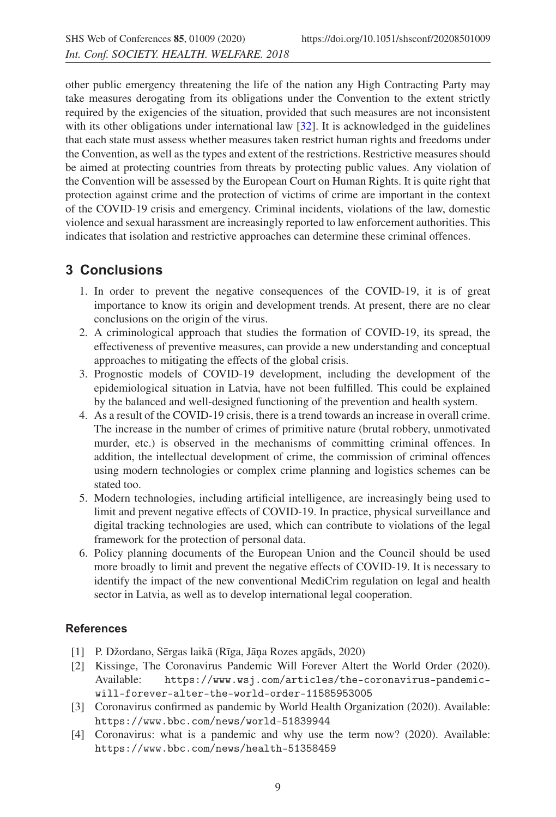other public emergency threatening the life of the nation any High Contracting Party may take measures derogating from its obligations under the Convention to the extent strictly required by the exigencies of the situation, provided that such measures are not inconsistent with its other obligations under international law [\[32](#page-10-12)]. It is acknowledged in the guidelines that each state must assess whether measures taken restrict human rights and freedoms under the Convention, as well as the types and extent of the restrictions. Restrictive measures should be aimed at protecting countries from threats by protecting public values. Any violation of the Convention will be assessed by the European Court on Human Rights. It is quite right that protection against crime and the protection of victims of crime are important in the context of the COVID-19 crisis and emergency. Criminal incidents, violations of the law, domestic violence and sexual harassment are increasingly reported to law enforcement authorities. This indicates that isolation and restrictive approaches can determine these criminal offences.

## **3 Conclusions**

- 1. In order to prevent the negative consequences of the COVID-19, it is of great importance to know its origin and development trends. At present, there are no clear conclusions on the origin of the virus.
- 2. A criminological approach that studies the formation of COVID-19, its spread, the effectiveness of preventive measures, can provide a new understanding and conceptual approaches to mitigating the effects of the global crisis.
- 3. Prognostic models of COVID-19 development, including the development of the epidemiological situation in Latvia, have not been fulfilled. This could be explained by the balanced and well-designed functioning of the prevention and health system.
- 4. As a result of the COVID-19 crisis, there is a trend towards an increase in overall crime. The increase in the number of crimes of primitive nature (brutal robbery, unmotivated murder, etc.) is observed in the mechanisms of committing criminal offences. In addition, the intellectual development of crime, the commission of criminal offences using modern technologies or complex crime planning and logistics schemes can be stated too.
- 5. Modern technologies, including artificial intelligence, are increasingly being used to limit and prevent negative effects of COVID-19. In practice, physical surveillance and digital tracking technologies are used, which can contribute to violations of the legal framework for the protection of personal data.
- 6. Policy planning documents of the European Union and the Council should be used more broadly to limit and prevent the negative effects of COVID-19. It is necessary to identify the impact of the new conventional MediCrim regulation on legal and health sector in Latvia, as well as to develop international legal cooperation.

## <span id="page-8-0"></span>**References**

- [1] P. Džordano, Sērgas laikā (Rīga, Jāņa Rozes apgāds, 2020)
- <span id="page-8-1"></span>[2] Kissinge, The Coronavirus Pandemic Will Forever Altert the World Order (2020). Available: https://www.wsj.com/articles/the-coronavirus-pandemicwill-forever-alter-the-world-order-11585953005
- <span id="page-8-2"></span>[3] Coronavirus confirmed as pandemic by World Health Organization (2020). Available: https://www.bbc.com/news/world-51839944
- <span id="page-8-3"></span>[4] Coronavirus: what is a pandemic and why use the term now? (2020). Available: https://www.bbc.com/news/health-51358459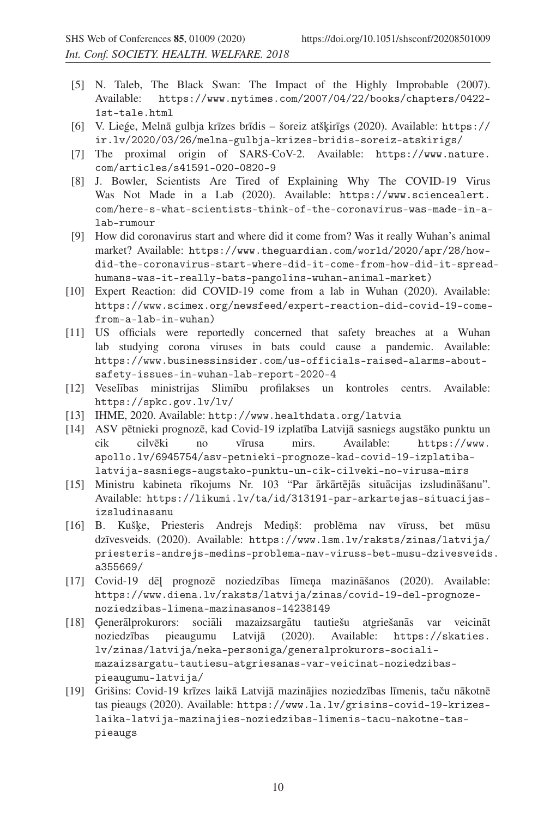- <span id="page-9-0"></span>[5] N. Taleb, The Black Swan: The Impact of the Highly Improbable (2007). Available: https://www.nytimes.com/2007/04/22/books/chapters/0422- 1st-tale.html
- <span id="page-9-1"></span>[6] V. Liege, Melnā gulbja krīzes brīdis – šoreiz atšķirīgs (2020). Available: https:// ir.lv/2020/03/26/melna-gulbja-krizes-bridis-soreiz-atskirigs/
- <span id="page-9-2"></span>[7] The proximal origin of SARS-CoV-2. Available: https://www.nature. com/articles/s41591-020-0820-9
- <span id="page-9-3"></span>[8] J. Bowler, Scientists Are Tired of Explaining Why The COVID-19 Virus Was Not Made in a Lab (2020). Available: https://www.sciencealert. com/here-s-what-scientists-think-of-the-coronavirus-was-made-in-alab-rumour
- <span id="page-9-4"></span>[9] How did coronavirus start and where did it come from? Was it really Wuhan's animal market? Available: https://www.theguardian.com/world/2020/apr/28/howdid-the-coronavirus-start-where-did-it-come-from-how-did-it-spreadhumans-was-it-really-bats-pangolins-wuhan-animal-market)
- <span id="page-9-5"></span>[10] Expert Reaction: did COVID-19 come from a lab in Wuhan (2020). Available: https://www.scimex.org/newsfeed/expert-reaction-did-covid-19-comefrom-a-lab-in-wuhan)
- <span id="page-9-6"></span>[11] US officials were reportedly concerned that safety breaches at a Wuhan lab studying corona viruses in bats could cause a pandemic. Available: https://www.businessinsider.com/us-officials-raised-alarms-aboutsafety-issues-in-wuhan-lab-report-2020-4
- <span id="page-9-9"></span>[12] Veselības ministrijas Slimību profilakses un kontroles centrs. Available: https://spkc.gov.lv/lv/
- <span id="page-9-7"></span>[13] IHME, 2020. Available: http://www.healthdata.org/latvia
- <span id="page-9-8"></span>[14] ASV pētnieki prognozē, kad Covid-19 izplatība Latvijā sasniegs augstāko punktu un cik cilvēki no vīrusa mirs. Available: https://www. apollo.lv/6945754/asv-petnieki-prognoze-kad-covid-19-izplatibalatvija-sasniegs-augstako-punktu-un-cik-cilveki-no-virusa-mirs
- <span id="page-9-10"></span>[15] Ministru kabineta rīkojums Nr. 103 "Par ārkārtējās situācijas izsludināšanu". Available: https://likumi.lv/ta/id/313191-par-arkartejas-situacijasizsludinasanu
- <span id="page-9-11"></span>[16] B. Kuške, Priesteris Andrejs Medinš: problēma nav vīruss, bet mūsu dzīvesveids. (2020). Available: https://www.lsm.lv/raksts/zinas/latvija/ priesteris-andrejs-medins-problema-nav-viruss-bet-musu-dzivesveids. a355669/
- <span id="page-9-12"></span>[17] Covid-19 dēļ prognozē noziedzības līmeņa mazināšanos (2020). Available: https://www.diena.lv/raksts/latvija/zinas/covid-19-del-prognozenoziedzibas-limena-mazinasanos-14238149
- <span id="page-9-13"></span>[18] Generālprokurors: sociāli mazaizsargātu tautiešu atgriešanās var veicināt noziedzības pieaugumu Latvijā (2020). Available: https://skaties. lv/zinas/latvija/neka-personiga/generalprokurors-socialimazaizsargatu-tautiesu-atgriesanas-var-veicinat-noziedzibaspieaugumu-latvija/
- <span id="page-9-14"></span>[19] Grišins: Covid-19 krīzes laikā Latvijā mazinājies noziedzības līmenis, taču nākotnē tas pieaugs (2020). Available: https://www.la.lv/grisins-covid-19-krizeslaika-latvija-mazinajies-noziedzibas-limenis-tacu-nakotne-taspieaugs